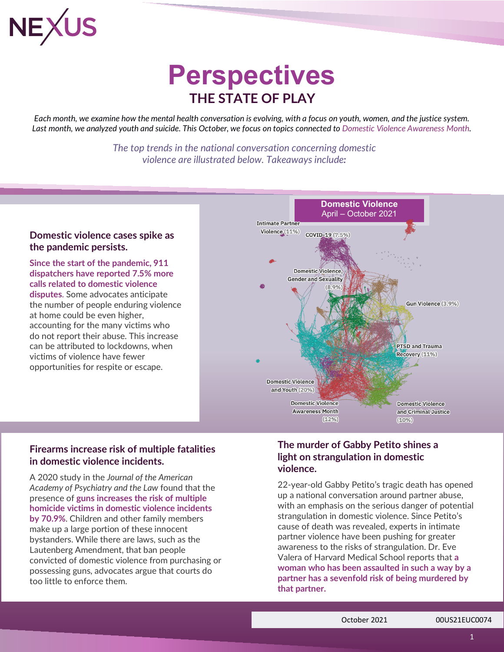

## **Perspectives THE STATE OF PLAY**

*Each month, we examine how the mental health conversation is evolving, with a focus on youth, women, and the justice system. Last month, we analyzed youth and suicide. This October, we focus on topics connected to [Domestic Violence Awareness Month.](https://ncadv.org/2021DVAM)*

> *The top trends in the national conversation concerning domestic violence are illustrated below. Takeaways include:*

### **[Domestic violence cases spike](https://www.forbes.com/sites/lakenbrooks/2021/10/13/domestic-violence-has-increased-during-covid-19-heres-how-to-create-a-quarantine-friendly-safety-plan/?sh=34daef8f2b76) as [the pandemic](https://www.forbes.com/sites/lakenbrooks/2021/10/13/domestic-violence-has-increased-during-covid-19-heres-how-to-create-a-quarantine-friendly-safety-plan/?sh=34daef8f2b76) persists.**

**Since the start of the pandemic, 911 dispatchers have reported 7.5% more calls related to domestic violence disputes**. Some advocates anticipate the number of people enduring violence at home could be even higher, accounting for the many victims who do not report their abuse. This increase can be attributed to lockdowns, when victims of violence have fewer opportunities for respite or escape.



### **Firearms [increase risk of multiple fatalities](https://abcnews.go.com/US/domestic-violence-shootings-affect-partners/story?id=77666600)  [in domestic violence incidents.](https://abcnews.go.com/US/domestic-violence-shootings-affect-partners/story?id=77666600)**

A 2020 study in the *Journal of the American Academy of Psychiatry and the Law* found that the presence of **guns increases the risk of multiple homicide victims in domestic violence incidents by 70.9%**. Children and other family members make up a large portion of these innocent bystanders. While there are laws, such as the Lautenberg Amendment, that ban people convicted of domestic violence from purchasing or possessing guns, advocates argue that courts do too little to enforce them.

### **[The](https://www.usatoday.com/story/news/nation/2021/10/12/gabby-petito-strangled-experts-say-its-common-intimate-partner-violence/8426282002/) [murder of Gabby Petito shines a](https://www.usatoday.com/story/news/nation/2021/10/12/gabby-petito-strangled-experts-say-its-common-intimate-partner-violence/8426282002/)  [light on strangulation in domestic](https://www.usatoday.com/story/news/nation/2021/10/12/gabby-petito-strangled-experts-say-its-common-intimate-partner-violence/8426282002/)  [violence.](https://www.usatoday.com/story/news/nation/2021/10/12/gabby-petito-strangled-experts-say-its-common-intimate-partner-violence/8426282002/)**

22-year-old Gabby Petito's tragic death has opened up a national conversation around partner abuse, with an emphasis on the serious danger of potential strangulation in domestic violence. Since Petito's cause of death was revealed, experts in intimate partner violence have been pushing for greater awareness to the risks of strangulation. Dr. Eve Valera of Harvard Medical School reports that **a woman who has been assaulted in such a way by a partner has a sevenfold risk of being murdered by that partner.**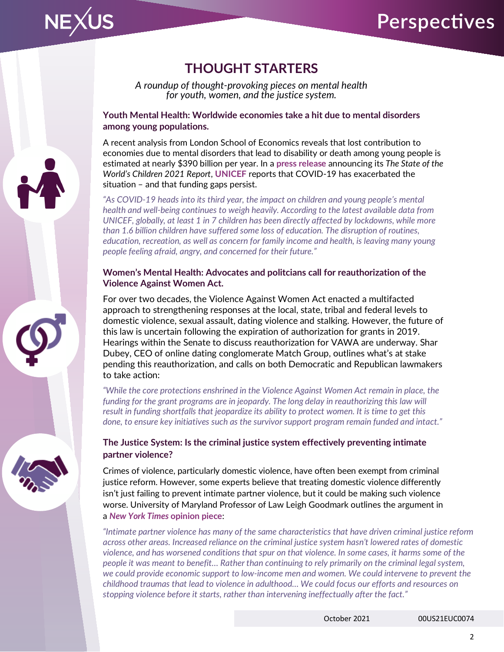

*A roundup of thought-provoking pieces on mental health for youth, women, and the justice system.*

**[Youth Mental Health: Worldwide economies take a hit due to](https://www.unicef.org/press-releases/impact-covid-19-poor-mental-health-children-and-young-people-tip-iceberg) mental disorders [among young populations.](https://www.unicef.org/press-releases/impact-covid-19-poor-mental-health-children-and-young-people-tip-iceberg)**

A recent analysis from London School of Economics reveals that lost contribution to economies due to mental disorders that lead to disability or death among young people is estimated at nearly \$390 billion per year. In a **[press release](https://www.unicef.org/press-releases/impact-covid-19-poor-mental-health-children-and-young-people-tip-iceberg)** announcing its *The State of the World's Children 2021 Report*, **UNICEF** reports that COVID-19 has exacerbated the situation – and that funding gaps persist.

*"As COVID-19 heads into its third year, the impact on children and young people's mental health and well-being continues to weigh heavily. According to the latest available data from UNICEF, globally, at least 1 in 7 children has been directly affected by lockdowns, while more than 1.6 billion children have suffered some loss of education. The disruption of routines, education, recreation, as well as concern for family income and health, is leaving many young people feeling afraid, angry, and concerned for their future."*

### **Women's Mental Health: Advocates and politcians [call for reauthorization of the](https://fortune.com/2021/10/13/violence-against-women-act-reauthorization-vawa-match-group/)  [Violence Against Women Act.](https://fortune.com/2021/10/13/violence-against-women-act-reauthorization-vawa-match-group/)**

For over two decades, the Violence Against Women Act enacted a multifacted approach to strengthening responses at the local, state, tribal and federal levels to domestic violence, sexual assault, dating violence and stalking. However, the future of this law is uncertain following the expiration of authorization for grants in 2019. Hearings within the Senate to discuss reauthorization for VAWA are underway. Shar Dubey, CEO of online dating conglomerate Match Group, outlines what's at stake pending this reauthorization, and calls on both Democratic and Republican lawmakers to take action:

*"While the core protections enshrined in the Violence Against Women Act remain in place, the funding for the grant programs are in jeopardy. The long delay in reauthorizing this law will result in funding shortfalls that jeopardize its ability to protect women. It is time to get this done, to ensure key initiatives such as the survivor support program remain funded and intact."*

### **The Justice System: [Is the criminal justice system effectively preventing intimate](https://www.nytimes.com/2019/07/23/opinion/domestic-violence-criminal-justice-reform-too.html)  [partner violence?](https://www.nytimes.com/2019/07/23/opinion/domestic-violence-criminal-justice-reform-too.html)**

Crimes of violence, particularly domestic violence, have often been exempt from criminal justice reform. However, some experts believe that treating domestic violence differently isn't just failing to prevent intimate partner violence, but it could be making such violence worse. University of Maryland Professor of Law Leigh Goodmark outlines the argument in a *[New York Times](https://www.nytimes.com/2019/07/23/opinion/domestic-violence-criminal-justice-reform-too.html)* **opinion piece**:

*"Intimate partner violence has many of the same characteristics that have driven criminal justice reform across other areas. Increased reliance on the criminal justice system hasn't lowered rates of domestic violence, and has worsened conditions that spur on that violence. In some cases, it harms some of the people it was meant to benefit… Rather than continuing to rely primarily on the criminal legal system, we could provide economic support to low-income men and women. We could intervene to prevent the childhood traumas that lead to violence in adulthood… We could focus our efforts and resources on stopping violence before it starts, rather than intervening ineffectually after the fact."*



**NEXUS**